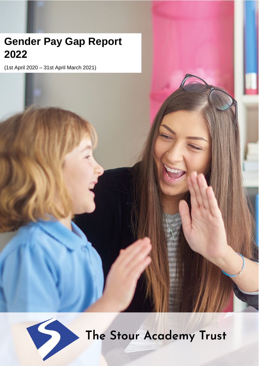# **Gender Pay Gap Report 2022**

(1st April 2020 – 31st April March 2021)



The Stour Academy Trust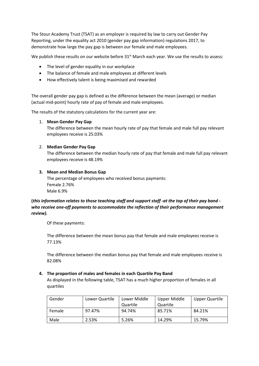The Stour Academy Trust (TSAT) as an employer is required by law to carry out Gender Pay Reporting, under the equality act 2010 (gender pay gap information) regulations 2017, to demonstrate how large the pay gap is between our female and male employees.

We publish these results on our website before 31<sup>st</sup> March each year. We use the results to assess:

- The level of gender equality in our workplace
- The balance of female and male employees at different levels
- How effectively talent is being maximised and rewarded

The overall gender pay gap is defined as the difference between the mean (average) or median (actual mid-point) hourly rate of pay of female and male employees.

The results of the statutory calculations for the current year are:

## 1. **Mean Gender Pay Gap**

The difference between the mean hourly rate of pay that female and male full pay relevant employees receive is 25.03%

## 2. **Median Gender Pay Gap**

The difference between the median hourly rate of pay that female and male full pay relevant employees receive is 48.19%

## **3. Mean and Median Bonus Gap**

The percentage of employees who received bonus payments: Female 2.76% Male 6.9%

# **(***this information relates to those teaching staff and support staff -at the top of their pay band who receive one-off payments to accommodate the reflection of their performance management review).*

Of these payments:

The difference between the mean bonus pay that female and male employees receive is 77.13%

The difference between the median bonus pay that female and male employees receive is 82.08%

## **4. The proportion of males and females in each Quartile Pay Band**

As displayed in the following table, TSAT has a much higher proportion of females in all quartiles

| Gender | Lower Quartile | Lower Middle | Upper Middle | Upper Quartile |
|--------|----------------|--------------|--------------|----------------|
|        |                | Quartile     | Quartile     |                |
| Female | 97.47%         | 94.74%       | 85.71%       | 84.21%         |
| Male   | 2.53%          | 5.26%        | 14.29%       | 15.79%         |